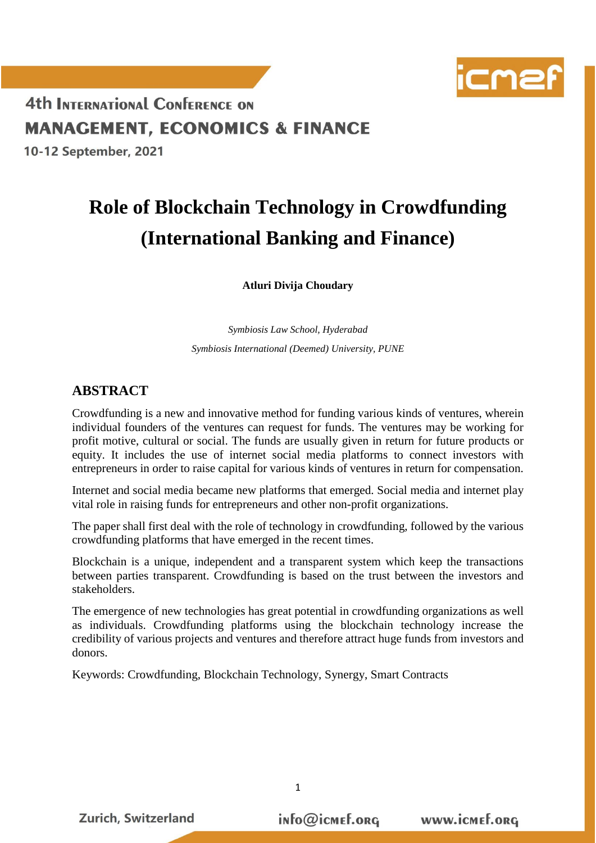

10-12 September, 2021

# **Role of Blockchain Technology in Crowdfunding (International Banking and Finance)**

**Atluri Divija Choudary**

*Symbiosis Law School, Hyderabad Symbiosis International (Deemed) University, PUNE*

### **ABSTRACT**

Crowdfunding is a new and innovative method for funding various kinds of ventures, wherein individual founders of the ventures can request for funds. The ventures may be working for profit motive, cultural or social. The funds are usually given in return for future products or equity. It includes the use of internet social media platforms to connect investors with entrepreneurs in order to raise capital for various kinds of ventures in return for compensation.

Internet and social media became new platforms that emerged. Social media and internet play vital role in raising funds for entrepreneurs and other non-profit organizations.

The paper shall first deal with the role of technology in crowdfunding, followed by the various crowdfunding platforms that have emerged in the recent times.

Blockchain is a unique, independent and a transparent system which keep the transactions between parties transparent. Crowdfunding is based on the trust between the investors and stakeholders.

The emergence of new technologies has great potential in crowdfunding organizations as well as individuals. Crowdfunding platforms using the blockchain technology increase the credibility of various projects and ventures and therefore attract huge funds from investors and donors.

1

Keywords: Crowdfunding, Blockchain Technology, Synergy, Smart Contracts

**Zurich, Switzerland**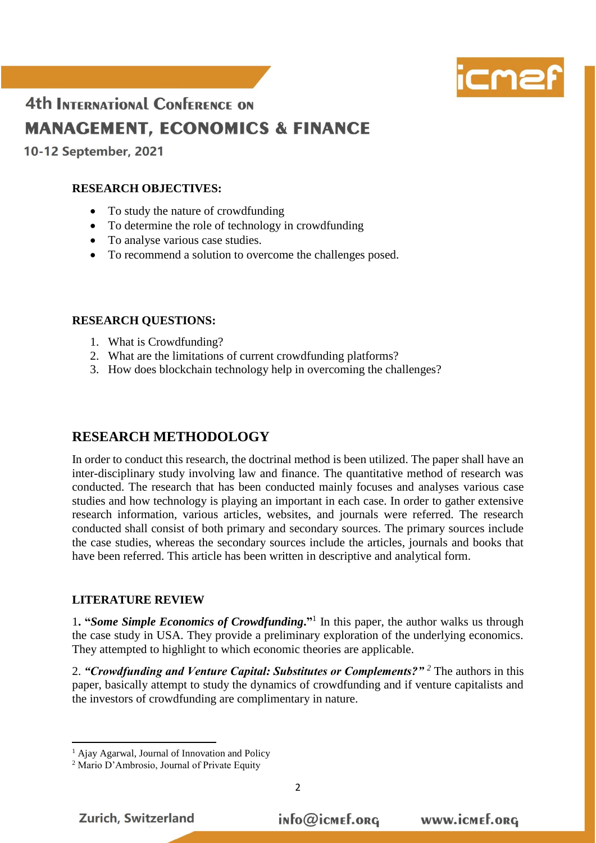

10-12 September, 2021

### **RESEARCH OBJECTIVES:**

- To study the nature of crowdfunding
- To determine the role of technology in crowdfunding
- To analyse various case studies.
- To recommend a solution to overcome the challenges posed.

### **RESEARCH QUESTIONS:**

- 1. What is Crowdfunding?
- 2. What are the limitations of current crowdfunding platforms?
- 3. How does blockchain technology help in overcoming the challenges?

## **RESEARCH METHODOLOGY**

In order to conduct this research, the doctrinal method is been utilized. The paper shall have an inter-disciplinary study involving law and finance. The quantitative method of research was conducted. The research that has been conducted mainly focuses and analyses various case studies and how technology is playing an important in each case. In order to gather extensive research information, various articles, websites, and journals were referred. The research conducted shall consist of both primary and secondary sources. The primary sources include the case studies, whereas the secondary sources include the articles, journals and books that have been referred. This article has been written in descriptive and analytical form.

#### **LITERATURE REVIEW**

1**. "***Some Simple Economics of Crowdfunding***."** 1 In this paper, the author walks us through the case study in USA. They provide a preliminary exploration of the underlying economics. They attempted to highlight to which economic theories are applicable.

2. *"Crowdfunding and Venture Capital: Substitutes or Complements?" <sup>2</sup>* The authors in this paper, basically attempt to study the dynamics of crowdfunding and if venture capitalists and the investors of crowdfunding are complimentary in nature.

**<sup>.</sup>** <sup>1</sup> Ajay Agarwal, Journal of Innovation and Policy

<sup>2</sup> Mario D'Ambrosio, Journal of Private Equity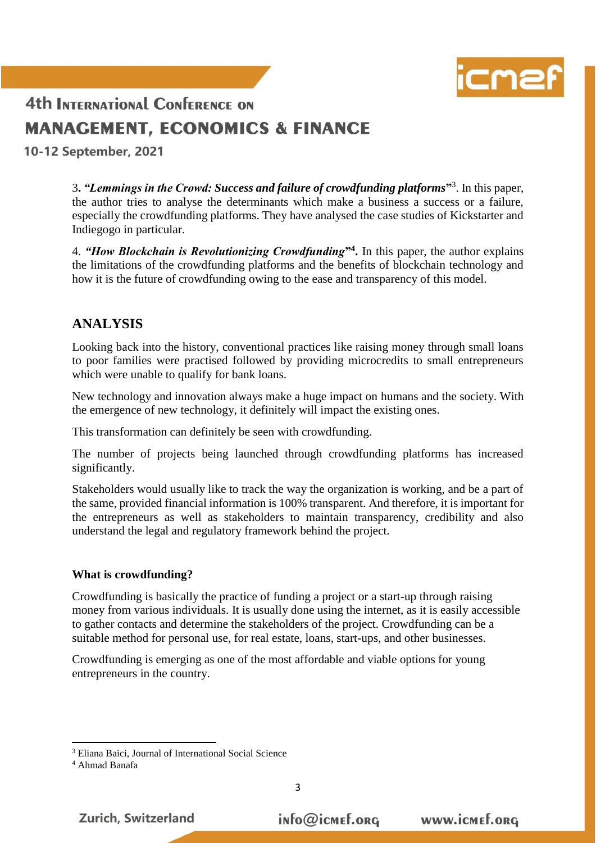

10-12 September, 2021

3. "Lemmings in the Crowd: Success and failure of crowdfunding platforms"<sup>3</sup>. In this paper, the author tries to analyse the determinants which make a business a success or a failure, especially the crowdfunding platforms. They have analysed the case studies of Kickstarter and Indiegogo in particular.

4. *"How Blockchain is Revolutionizing Crowdfunding***" 4 .** In this paper, the author explains the limitations of the crowdfunding platforms and the benefits of blockchain technology and how it is the future of crowdfunding owing to the ease and transparency of this model.

### **ANALYSIS**

Looking back into the history, conventional practices like raising money through small loans to poor families were practised followed by providing microcredits to small entrepreneurs which were unable to qualify for bank loans.

New technology and innovation always make a huge impact on humans and the society. With the emergence of new technology, it definitely will impact the existing ones.

This transformation can definitely be seen with crowdfunding.

The number of projects being launched through crowdfunding platforms has increased significantly.

Stakeholders would usually like to track the way the organization is working, and be a part of the same, provided financial information is 100% transparent. And therefore, it is important for the entrepreneurs as well as stakeholders to maintain transparency, credibility and also understand the legal and regulatory framework behind the project.

#### **What is crowdfunding?**

Crowdfunding is basically the practice of funding a project or a start-up through raising money from various individuals. It is usually done using the internet, as it is easily accessible to gather contacts and determine the stakeholders of the project. Crowdfunding can be a suitable method for personal use, for real estate, loans, start-ups, and other businesses.

Crowdfunding is emerging as one of the most affordable and viable options for young entrepreneurs in the country.



**<sup>.</sup>** <sup>3</sup> Eliana Baici, Journal of International Social Science

<sup>4</sup> Ahmad Banafa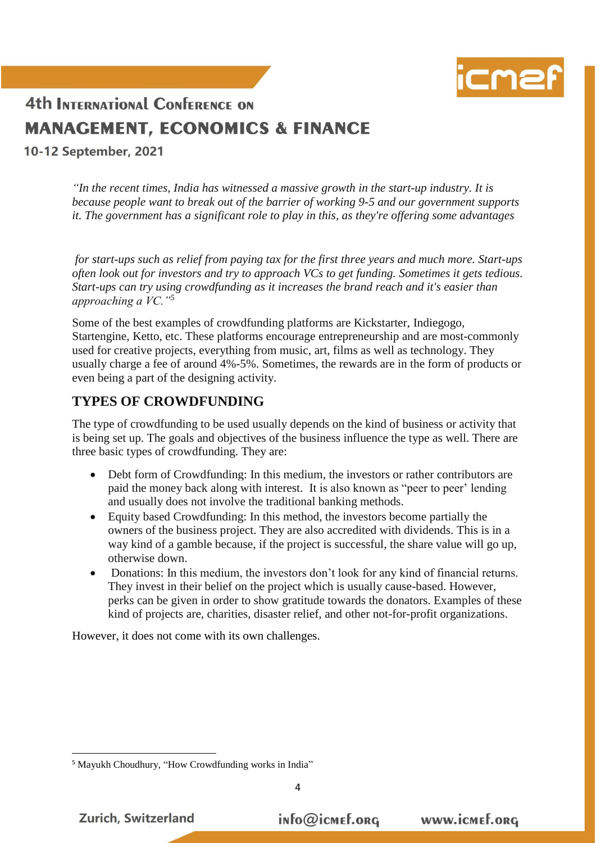

10-12 September, 2021

*"In the recent times, India has witnessed a massive growth in the start-up industry. It is because people want to break out of the barrier of working 9-5 and our government supports it. The government has a significant role to play in this, as they're offering some advantages*

*for start-ups such as relief from paying tax for the first three years and much more. Start-ups often look out for investors and try to approach VCs to get funding. Sometimes it gets tedious. Start-ups can try using crowdfunding as it increases the brand reach and it's easier than approaching a VC."<sup>5</sup>*

Some of the best examples of crowdfunding platforms are Kickstarter, Indiegogo, Startengine, Ketto, etc. These platforms encourage entrepreneurship and are most-commonly used for creative projects, everything from music, art, films as well as technology. They usually charge a fee of around 4%-5%. Sometimes, the rewards are in the form of products or even being a part of the designing activity.

### **TYPES OF CROWDFUNDING**

The type of crowdfunding to be used usually depends on the kind of business or activity that is being set up. The goals and objectives of the business influence the type as well. There are three basic types of crowdfunding. They are:

- Debt form of Crowdfunding: In this medium, the investors or rather contributors are paid the money back along with interest. It is also known as "peer to peer' lending and usually does not involve the traditional banking methods.
- Equity based Crowdfunding: In this method, the investors become partially the owners of the business project. They are also accredited with dividends. This is in a way kind of a gamble because, if the project is successful, the share value will go up, otherwise down.
- Donations: In this medium, the investors don't look for any kind of financial returns. They invest in their belief on the project which is usually cause-based. However, perks can be given in order to show gratitude towards the donators. Examples of these kind of projects are, charities, disaster relief, and other not-for-profit organizations.

However, it does not come with its own challenges.

**.** 

info@icmef.org

<sup>5</sup> Mayukh Choudhury, "How Crowdfunding works in India"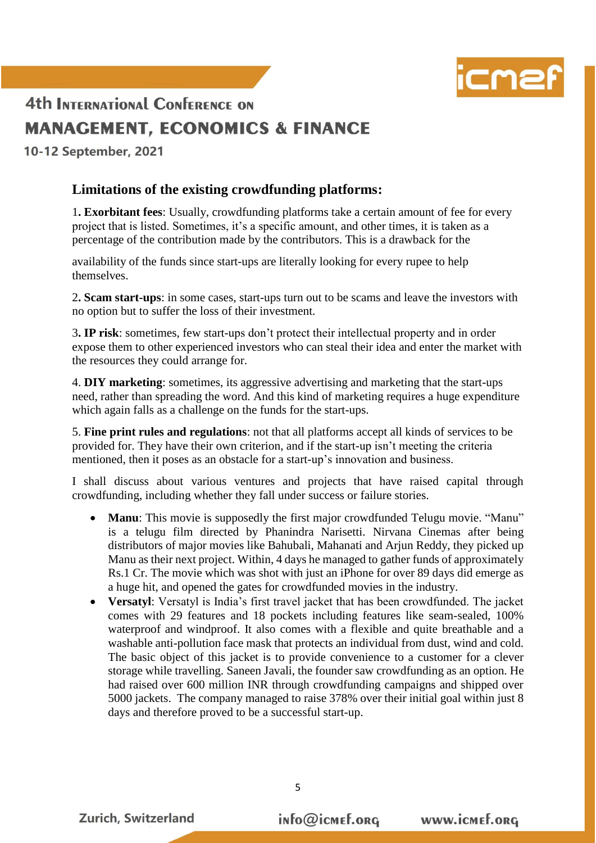

10-12 September, 2021

### **Limitations of the existing crowdfunding platforms:**

1**. Exorbitant fees**: Usually, crowdfunding platforms take a certain amount of fee for every project that is listed. Sometimes, it's a specific amount, and other times, it is taken as a percentage of the contribution made by the contributors. This is a drawback for the

availability of the funds since start-ups are literally looking for every rupee to help themselves.

2**. Scam start-ups**: in some cases, start-ups turn out to be scams and leave the investors with no option but to suffer the loss of their investment.

3**. IP risk**: sometimes, few start-ups don't protect their intellectual property and in order expose them to other experienced investors who can steal their idea and enter the market with the resources they could arrange for.

4. **DIY marketing**: sometimes, its aggressive advertising and marketing that the start-ups need, rather than spreading the word. And this kind of marketing requires a huge expenditure which again falls as a challenge on the funds for the start-ups.

5. **Fine print rules and regulations**: not that all platforms accept all kinds of services to be provided for. They have their own criterion, and if the start-up isn't meeting the criteria mentioned, then it poses as an obstacle for a start-up's innovation and business.

I shall discuss about various ventures and projects that have raised capital through crowdfunding, including whether they fall under success or failure stories.

- Manu: This movie is supposedly the first major crowdfunded Telugu movie. "Manu" is a telugu film directed by Phanindra Narisetti. Nirvana Cinemas after being distributors of major movies like Bahubali, Mahanati and Arjun Reddy, they picked up Manu as their next project. Within, 4 days he managed to gather funds of approximately Rs.1 Cr. The movie which was shot with just an iPhone for over 89 days did emerge as a huge hit, and opened the gates for crowdfunded movies in the industry.
- **Versatyl**: Versatyl is India's first travel jacket that has been crowdfunded. The jacket comes with 29 features and 18 pockets including features like seam-sealed, 100% waterproof and windproof. It also comes with a flexible and quite breathable and a washable anti-pollution face mask that protects an individual from dust, wind and cold. The basic object of this jacket is to provide convenience to a customer for a clever storage while travelling. Saneen Javali, the founder saw crowdfunding as an option. He had raised over 600 million INR through crowdfunding campaigns and shipped over 5000 jackets. The company managed to raise 378% over their initial goal within just 8 days and therefore proved to be a successful start-up.

5

**Zurich, Switzerland** 

info@icmef.org

www.icmef.org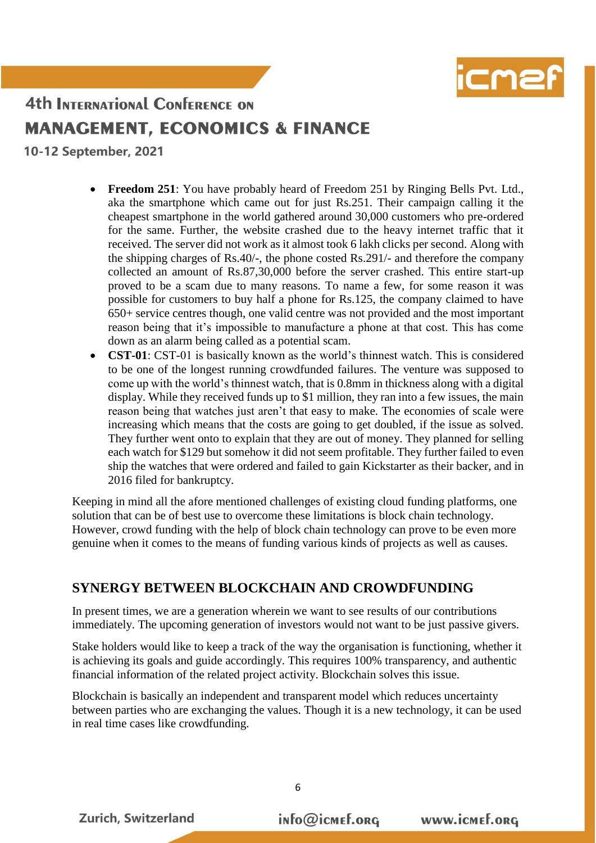

10-12 September, 2021

- **Freedom 251**: You have probably heard of Freedom 251 by Ringing Bells Pvt. Ltd., aka the smartphone which came out for just Rs.251. Their campaign calling it the cheapest smartphone in the world gathered around 30,000 customers who pre-ordered for the same. Further, the website crashed due to the heavy internet traffic that it received. The server did not work as it almost took 6 lakh clicks per second. Along with the shipping charges of Rs.40/-, the phone costed Rs.291/- and therefore the company collected an amount of Rs.87,30,000 before the server crashed. This entire start-up proved to be a scam due to many reasons. To name a few, for some reason it was possible for customers to buy half a phone for Rs.125, the company claimed to have 650+ service centres though, one valid centre was not provided and the most important reason being that it's impossible to manufacture a phone at that cost. This has come down as an alarm being called as a potential scam.
- **CST-01**: CST-01 is basically known as the world's thinnest watch. This is considered to be one of the longest running crowdfunded failures. The venture was supposed to come up with the world's thinnest watch, that is 0.8mm in thickness along with a digital display. While they received funds up to \$1 million, they ran into a few issues, the main reason being that watches just aren't that easy to make. The economies of scale were increasing which means that the costs are going to get doubled, if the issue as solved. They further went onto to explain that they are out of money. They planned for selling each watch for \$129 but somehow it did not seem profitable. They further failed to even ship the watches that were ordered and failed to gain Kickstarter as their backer, and in 2016 filed for bankruptcy.

Keeping in mind all the afore mentioned challenges of existing cloud funding platforms, one solution that can be of best use to overcome these limitations is block chain technology. However, crowd funding with the help of block chain technology can prove to be even more genuine when it comes to the means of funding various kinds of projects as well as causes.

### **SYNERGY BETWEEN BLOCKCHAIN AND CROWDFUNDING**

In present times, we are a generation wherein we want to see results of our contributions immediately. The upcoming generation of investors would not want to be just passive givers.

Stake holders would like to keep a track of the way the organisation is functioning, whether it is achieving its goals and guide accordingly. This requires 100% transparency, and authentic financial information of the related project activity. Blockchain solves this issue.

Blockchain is basically an independent and transparent model which reduces uncertainty between parties who are exchanging the values. Though it is a new technology, it can be used in real time cases like crowdfunding.

6

**Zurich, Switzerland** 

info@icmef.org

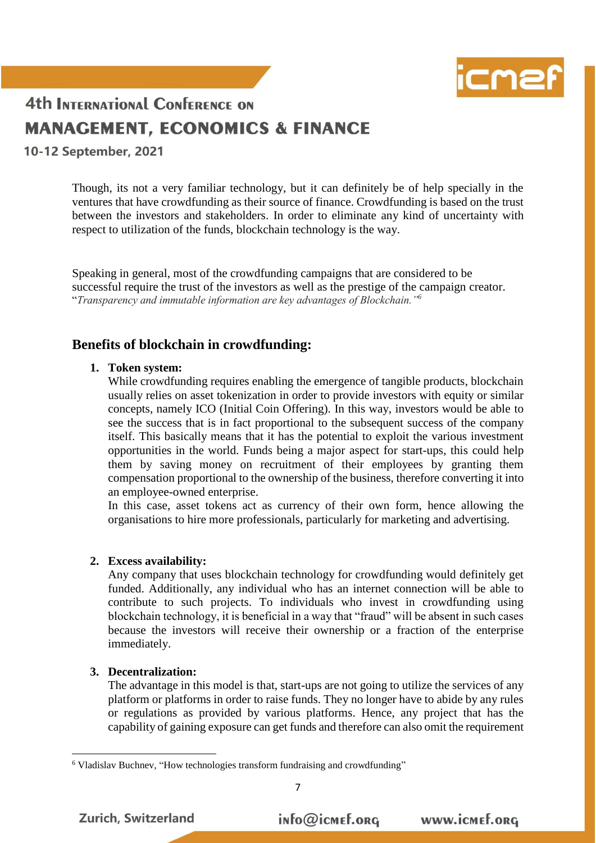

10-12 September, 2021

Though, its not a very familiar technology, but it can definitely be of help specially in the ventures that have crowdfunding as their source of finance. Crowdfunding is based on the trust between the investors and stakeholders. In order to eliminate any kind of uncertainty with respect to utilization of the funds, blockchain technology is the way.

Speaking in general, most of the crowdfunding campaigns that are considered to be successful require the trust of the investors as well as the prestige of the campaign creator. "*Transparency and immutable information are key advantages of Blockchain."<sup>6</sup>*

### **Benefits of blockchain in crowdfunding:**

#### **1. Token system:**

While crowdfunding requires enabling the emergence of tangible products, blockchain usually relies on asset tokenization in order to provide investors with equity or similar concepts, namely ICO (Initial Coin Offering). In this way, investors would be able to see the success that is in fact proportional to the subsequent success of the company itself. This basically means that it has the potential to exploit the various investment opportunities in the world. Funds being a major aspect for start-ups, this could help them by saving money on recruitment of their employees by granting them compensation proportional to the ownership of the business, therefore converting it into an employee-owned enterprise.

In this case, asset tokens act as currency of their own form, hence allowing the organisations to hire more professionals, particularly for marketing and advertising.

#### **2. Excess availability:**

Any company that uses blockchain technology for crowdfunding would definitely get funded. Additionally, any individual who has an internet connection will be able to contribute to such projects. To individuals who invest in crowdfunding using blockchain technology, it is beneficial in a way that "fraud" will be absent in such cases because the investors will receive their ownership or a fraction of the enterprise immediately.

#### **3. Decentralization:**

The advantage in this model is that, start-ups are not going to utilize the services of any platform or platforms in order to raise funds. They no longer have to abide by any rules or regulations as provided by various platforms. Hence, any project that has the capability of gaining exposure can get funds and therefore can also omit the requirement

**.** 

info@icmef.org

<sup>&</sup>lt;sup>6</sup> Vladislav Buchnev, "How technologies transform fundraising and crowdfunding"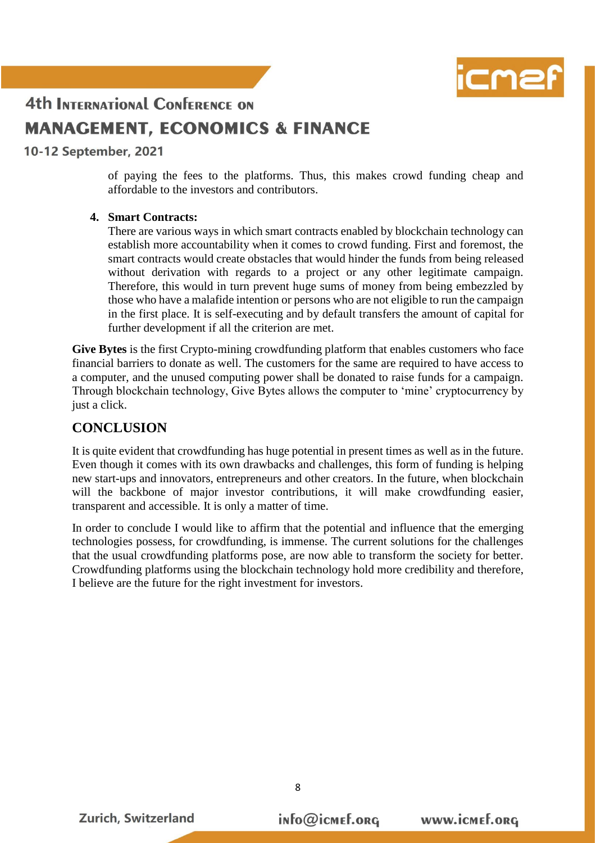

#### 10-12 September, 2021

of paying the fees to the platforms. Thus, this makes crowd funding cheap and affordable to the investors and contributors.

#### **4. Smart Contracts:**

There are various ways in which smart contracts enabled by blockchain technology can establish more accountability when it comes to crowd funding. First and foremost, the smart contracts would create obstacles that would hinder the funds from being released without derivation with regards to a project or any other legitimate campaign. Therefore, this would in turn prevent huge sums of money from being embezzled by those who have a malafide intention or persons who are not eligible to run the campaign in the first place. It is self-executing and by default transfers the amount of capital for further development if all the criterion are met.

**Give Bytes** is the first Crypto-mining crowdfunding platform that enables customers who face financial barriers to donate as well. The customers for the same are required to have access to a computer, and the unused computing power shall be donated to raise funds for a campaign. Through blockchain technology, Give Bytes allows the computer to 'mine' cryptocurrency by just a click.

## **CONCLUSION**

It is quite evident that crowdfunding has huge potential in present times as well as in the future. Even though it comes with its own drawbacks and challenges, this form of funding is helping new start-ups and innovators, entrepreneurs and other creators. In the future, when blockchain will the backbone of major investor contributions, it will make crowdfunding easier, transparent and accessible. It is only a matter of time.

In order to conclude I would like to affirm that the potential and influence that the emerging technologies possess, for crowdfunding, is immense. The current solutions for the challenges that the usual crowdfunding platforms pose, are now able to transform the society for better. Crowdfunding platforms using the blockchain technology hold more credibility and therefore, I believe are the future for the right investment for investors.



8